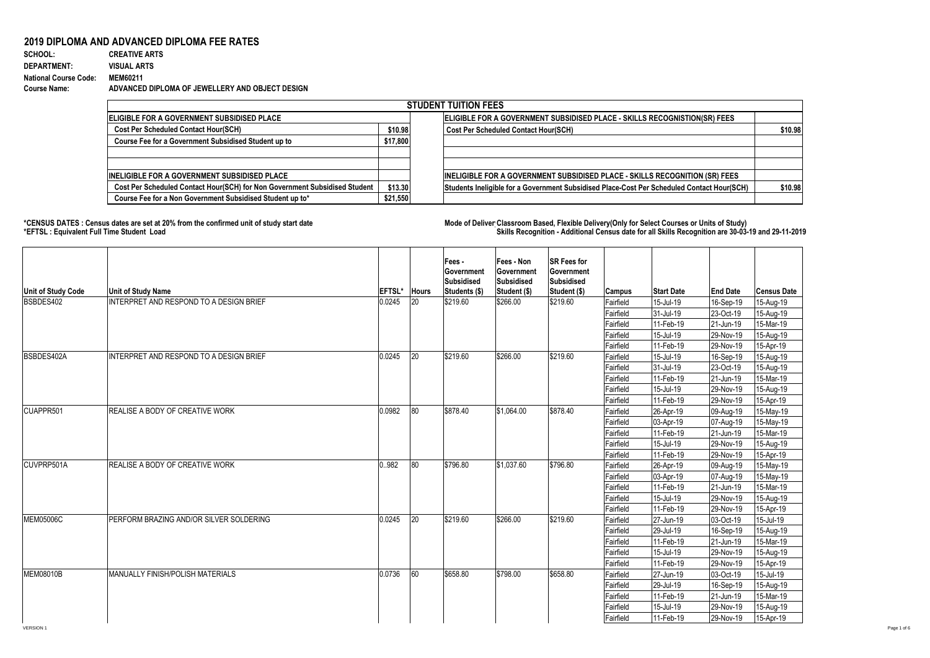## **2019 DIPLOMA AND ADVANCED DIPLOMA FEE RATES**<br>SCHOOL: CREATIVE ARTS

**SCHOOL: CREATIVE ARTS** 1630 2 0.001226994 **DEPARTMENT: VISUAL ARTS National Course Code: MEM60211 Course Name: ADVANCED DIPLOMA OF JEWELLERY AND OBJECT DESIGN**

|                                                                            |          | <b>STUDENT TUITION FEES</b>                                                                |         |
|----------------------------------------------------------------------------|----------|--------------------------------------------------------------------------------------------|---------|
| <b>IELIGIBLE FOR A GOVERNMENT SUBSIDISED PLACE</b>                         |          | ELIGIBLE FOR A GOVERNMENT SUBSIDISED PLACE - SKILLS RECOGNISTION(SR) FEES                  |         |
| <b>Cost Per Scheduled Contact Hour(SCH)</b>                                | \$10.98  | <b>Cost Per Scheduled Contact Hour(SCH)</b>                                                | \$10.98 |
| Course Fee for a Government Subsidised Student up to                       | \$17,800 |                                                                                            |         |
|                                                                            |          |                                                                                            |         |
|                                                                            |          |                                                                                            |         |
| <b>IINELIGIBLE FOR A GOVERNMENT SUBSIDISED PLACE</b>                       |          | <b>INELIGIBLE FOR A GOVERNMENT SUBSIDISED PLACE - SKILLS RECOGNITION (SR) FEES</b>         |         |
| Cost Per Scheduled Contact Hour(SCH) for Non Government Subsidised Student | \$13.30  | Students Ineligible for a Government Subsidised Place-Cost Per Scheduled Contact Hour(SCH) | \$10.98 |
| Course Fee for a Non Government Subsidised Student up to*                  | \$21,550 |                                                                                            |         |

**\*CENSUS DATES : Census dates are set at 20% from the confirmed unit of study start date Mode of Delivery:Classroom Based, Flexible Delivery(Only for Select Courses or Units of Study) \*EFTSL : Equivalent Full Time Student Load Skills Recognition - Additional Census date for all Skills Recognition are 30-03-19 and 29-11-2019** 

| Unit of Study Code | <b>Unit of Study Name</b>               | EFTSL* | <b>Hours</b> | Fees -<br><b>Government</b><br>Subsidised<br>Students (\$) | Fees - Non<br>Government<br>Subsidised<br>Student (\$) | <b>SR Fees for</b><br>Government<br>Subsidised<br>Student (\$) | Campus                 | <b>Start Date</b>      | <b>End Date</b>        | <b>Census Date</b>     |
|--------------------|-----------------------------------------|--------|--------------|------------------------------------------------------------|--------------------------------------------------------|----------------------------------------------------------------|------------------------|------------------------|------------------------|------------------------|
| BSBDES402          | INTERPRET AND RESPOND TO A DESIGN BRIEF | 0.0245 | 20           | \$219.60                                                   | \$266.00                                               | \$219.60                                                       | Fairfield              | 15-Jul-19              | 16-Sep-19              | 15-Aug-19              |
|                    |                                         |        |              |                                                            |                                                        |                                                                | Fairfield              | 31-Jul-19<br>11-Feb-19 | 23-Oct-19<br>21-Jun-19 | 15-Aug-19<br>15-Mar-19 |
|                    |                                         |        |              |                                                            |                                                        |                                                                | Fairfield<br>Fairfield | 15-Jul-19              | 29-Nov-19              | 15-Aug-19              |
|                    |                                         |        |              |                                                            |                                                        |                                                                | Fairfield              | 11-Feb-19              | 29-Nov-19              | 15-Apr-19              |
| BSBDES402A         | INTERPRET AND RESPOND TO A DESIGN BRIEF | 0.0245 | $ 20\rangle$ | \$219.60                                                   | \$266.00                                               | \$219.60                                                       | Fairfield              | 15-Jul-19              | 16-Sep-19              | 15-Aug-19              |
|                    |                                         |        |              |                                                            |                                                        |                                                                | Fairfield              | 31-Jul-19              | 23-Oct-19              | 15-Aug-19              |
|                    |                                         |        |              |                                                            |                                                        |                                                                | Fairfield              | 11-Feb-19              | 21-Jun-19              | 15-Mar-19              |
|                    |                                         |        |              |                                                            |                                                        |                                                                | Fairfield              | 15-Jul-19              | 29-Nov-19              | 15-Aug-19              |
|                    |                                         |        |              |                                                            |                                                        |                                                                | Fairfield              | 11-Feb-19              | 29-Nov-19              | 15-Apr-19              |
| CUAPPR501          | <b>REALISE A BODY OF CREATIVE WORK</b>  | 0.0982 | 180          | \$878.40                                                   | \$1.064.00                                             | \$878.40                                                       | Fairfield              | 26-Apr-19              | 09-Aug-19              | 15-May-19              |
|                    |                                         |        |              |                                                            |                                                        |                                                                | Fairfield              | 03-Apr-19              | 07-Aug-19              | 15-May-19              |
|                    |                                         |        |              |                                                            |                                                        |                                                                | Fairfield              | 11-Feb-19              | 21-Jun-19              | 15-Mar-19              |
|                    |                                         |        |              |                                                            |                                                        |                                                                | Fairfield              | 15-Jul-19              | 29-Nov-19              | 15-Aug-19              |
|                    |                                         |        |              |                                                            |                                                        |                                                                | Fairfield              | 11-Feb-19              | 29-Nov-19              | 15-Apr-19              |
| CUVPRP501A         | REALISE A BODY OF CREATIVE WORK         | 0.982  | 80           | \$796.80                                                   | \$1.037.60                                             | \$796.80                                                       | Fairfield              | 26-Apr-19              | 09-Aug-19              | $15$ -May-19           |
|                    |                                         |        |              |                                                            |                                                        |                                                                | Fairfield              | 03-Apr-19              | 07-Aug-19              | 15-May-19              |
|                    |                                         |        |              |                                                            |                                                        |                                                                | Fairfield              | 11-Feb-19              | 21-Jun-19              | 15-Mar-19              |
|                    |                                         |        |              |                                                            |                                                        |                                                                | Fairfield              | 15-Jul-19              | 29-Nov-19              | 15-Aug-19              |
|                    |                                         |        |              |                                                            |                                                        |                                                                | Fairfield              | 11-Feb-19              | 29-Nov-19              | 15-Apr-19              |
| <b>MEM05006C</b>   | PERFORM BRAZING AND/OR SILVER SOLDERING | 0.0245 | $ 20\rangle$ | \$219.60                                                   | \$266.00                                               | \$219.60                                                       | Fairfield              | 27-Jun-19              | 03-Oct-19              | 15-Jul-19              |
|                    |                                         |        |              |                                                            |                                                        |                                                                | Fairfield              | 29-Jul-19              | 16-Sep-19              | 15-Aug-19              |
|                    |                                         |        |              |                                                            |                                                        |                                                                | Fairfield              | 11-Feb-19              | 21-Jun-19              | 15-Mar-19              |
|                    |                                         |        |              |                                                            |                                                        |                                                                | Fairfield              | 15-Jul-19              | 29-Nov-19              | 15-Aug-19              |
|                    |                                         |        |              |                                                            |                                                        |                                                                | Fairfield              | 11-Feb-19              | 29-Nov-19              | 15-Apr-19              |
| <b>MEM08010B</b>   | MANUALLY FINISH/POLISH MATERIALS        | 0.0736 | 60           | \$658.80                                                   | \$798.00                                               | \$658.80                                                       | Fairfield              | 27-Jun-19              | 03-Oct-19              | 15-Jul-19              |
|                    |                                         |        |              |                                                            |                                                        |                                                                | Fairfield              | 29-Jul-19              | 16-Sep-19              | 15-Aug-19              |
|                    |                                         |        |              |                                                            |                                                        |                                                                | Fairfield              | 11-Feb-19              | 21-Jun-19              | 15-Mar-19              |
|                    |                                         |        |              |                                                            |                                                        |                                                                | Fairfield              | 15-Jul-19              | 29-Nov-19              | 15-Aug-19              |
|                    |                                         |        |              |                                                            |                                                        |                                                                | Fairfield              | 11-Feb-19              | 29-Nov-19              | 15-Apr-19              |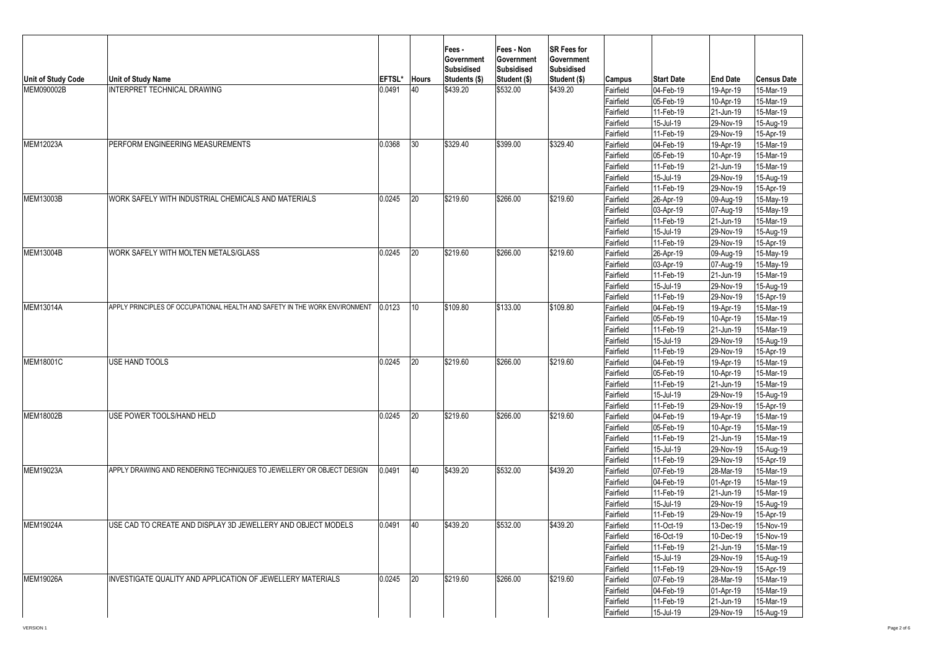| Unit of Study Code | <b>Unit of Study Name</b>                                                  | EFTSL* | <b>Hours</b>    | Fees -<br>Government<br>Subsidised<br>Students (\$) | Fees - Non<br><b>Government</b><br><b>Subsidised</b><br>Student (\$) | SR Fees for<br>Government<br>Subsidised<br>Student (\$) | Campus    | <b>Start Date</b>       | <b>End Date</b> | <b>Census Date</b> |
|--------------------|----------------------------------------------------------------------------|--------|-----------------|-----------------------------------------------------|----------------------------------------------------------------------|---------------------------------------------------------|-----------|-------------------------|-----------------|--------------------|
| MEM090002B         | INTERPRET TECHNICAL DRAWING                                                | 0.0491 | 40              | \$439.20                                            | \$532.00                                                             | \$439.20                                                | Fairfield | 04-Feb-19               | 19-Apr-19       | 15-Mar-19          |
|                    |                                                                            |        |                 |                                                     |                                                                      |                                                         | Fairfield | 05-Feb-19               | 10-Apr-19       | 15-Mar-19          |
|                    |                                                                            |        |                 |                                                     |                                                                      |                                                         | Fairfield | 11-Feb-19               | 21-Jun-19       | 15-Mar-19          |
|                    |                                                                            |        |                 |                                                     |                                                                      |                                                         | Fairfield | 15-Jul-19               | 29-Nov-19       | 15-Aug-19          |
|                    |                                                                            |        |                 |                                                     |                                                                      |                                                         | Fairfield | 11-Feb-19               | 29-Nov-19       | 15-Apr-19          |
| MEM12023A          | PERFORM ENGINEERING MEASUREMENTS                                           | 0.0368 | $ 30\rangle$    | \$329.40                                            | \$399.00                                                             | \$329.40                                                | Fairfield | 04-Feb-19               | 19-Apr-19       | 15-Mar-19          |
|                    |                                                                            |        |                 |                                                     |                                                                      |                                                         | Fairfield | 05-Feb-19               | 10-Apr-19       | 15-Mar-19          |
|                    |                                                                            |        |                 |                                                     |                                                                      |                                                         | Fairfield | 11-Feb-19               | 21-Jun-19       | 15-Mar-19          |
|                    |                                                                            |        |                 |                                                     |                                                                      |                                                         | Fairfield | 15-Jul-19               | 29-Nov-19       | 15-Aug-19          |
|                    |                                                                            |        |                 |                                                     |                                                                      |                                                         | Fairfield | 11-Feb-19               | 29-Nov-19       | 15-Apr-19          |
| MEM13003B          | WORK SAFELY WITH INDUSTRIAL CHEMICALS AND MATERIALS                        | 0.0245 | 20              | \$219.60                                            | \$266.00                                                             | \$219.60                                                | Fairfield | 26-Apr-19               | 09-Aug-19       | 15-May-19          |
|                    |                                                                            |        |                 |                                                     |                                                                      |                                                         | Fairfield | 03-Apr-19               | 07-Aug-19       | 15-May-19          |
|                    |                                                                            |        |                 |                                                     |                                                                      |                                                         | Fairfield | 11-Feb-19               | 21-Jun-19       | 15-Mar-19          |
|                    |                                                                            |        |                 |                                                     |                                                                      |                                                         | Fairfield | 15-Jul-19               | 29-Nov-19       | 15-Aug-19          |
|                    |                                                                            |        |                 |                                                     |                                                                      |                                                         | Fairfield | 11-Feb-19               | 29-Nov-19       | 15-Apr-19          |
| <b>MEM13004B</b>   | WORK SAFELY WITH MOLTEN METALS/GLASS                                       | 0.0245 | 20              | \$219.60                                            | \$266.00                                                             | \$219.60                                                | Fairfield | 26-Apr-19               | 09-Aug-19       | 15-May-19          |
|                    |                                                                            |        |                 |                                                     |                                                                      |                                                         | Fairfield | 03-Apr-19               | 07-Aug-19       | 15-May-19          |
|                    |                                                                            |        |                 |                                                     |                                                                      |                                                         | Fairfield | 11-Feb-19               | 21-Jun-19       | 15-Mar-19          |
|                    |                                                                            |        |                 |                                                     |                                                                      |                                                         | Fairfield | 15-Jul-19               | 29-Nov-19       | 15-Aug-19          |
|                    |                                                                            |        |                 |                                                     |                                                                      |                                                         | Fairfield | 11-Feb-19               | 29-Nov-19       | 15-Apr-19          |
| <b>MEM13014A</b>   | APPLY PRINCIPLES OF OCCUPATIONAL HEALTH AND SAFETY IN THE WORK ENVIRONMENT | 0.0123 | 10 <sup>°</sup> | \$109.80                                            | \$133.00                                                             | \$109.80                                                | Fairfield | 04-Feb-19               | 19-Apr-19       | 15-Mar-19          |
|                    |                                                                            |        |                 |                                                     |                                                                      |                                                         | Fairfield | $\overline{0}$ 5-Feb-19 | 10-Apr-19       | 15-Mar-19          |
|                    |                                                                            |        |                 |                                                     |                                                                      |                                                         | Fairfield | 11-Feb-19               | 21-Jun-19       | 15-Mar-19          |
|                    |                                                                            |        |                 |                                                     |                                                                      |                                                         | Fairfield | 15-Jul-19               | 29-Nov-19       | 15-Aug-19          |
|                    |                                                                            |        |                 |                                                     |                                                                      |                                                         | Fairfield | 11-Feb-19               | 29-Nov-19       | 15-Apr-19          |
| <b>MEM18001C</b>   | USE HAND TOOLS                                                             | 0.0245 | 20              | \$219.60                                            | \$266.00                                                             | \$219.60                                                | Fairfield | 04-Feb-19               | 19-Apr-19       | 15-Mar-19          |
|                    |                                                                            |        |                 |                                                     |                                                                      |                                                         | Fairfield | 05-Feb-19               | 10-Apr-19       | 15-Mar-19          |
|                    |                                                                            |        |                 |                                                     |                                                                      |                                                         | Fairfield | 11-Feb-19               | 21-Jun-19       | 15-Mar-19          |
|                    |                                                                            |        |                 |                                                     |                                                                      |                                                         | Fairfield | 15-Jul-19               | 29-Nov-19       | 15-Aug-19          |
|                    |                                                                            |        |                 |                                                     |                                                                      |                                                         | Fairfield | 11-Feb-19               | 29-Nov-19       | 15-Apr-19          |
| <b>MEM18002B</b>   | USE POWER TOOLS/HAND HELD                                                  | 0.0245 | 20              | \$219.60                                            | \$266.00                                                             | \$219.60                                                | Fairfield | 04-Feb-19               | 19-Apr-19       | 15-Mar-19          |
|                    |                                                                            |        |                 |                                                     |                                                                      |                                                         | Fairfield | 05-Feb-19               | 10-Apr-19       | 15-Mar-19          |
|                    |                                                                            |        |                 |                                                     |                                                                      |                                                         | Fairfield | 11-Feb-19               | 21-Jun-19       | 15-Mar-19          |
|                    |                                                                            |        |                 |                                                     |                                                                      |                                                         | Fairfield | 15-Jul-19               | 29-Nov-19       | 15-Aug-19          |
|                    |                                                                            |        |                 |                                                     |                                                                      |                                                         | Fairfield | 11-Feb-19               | 29-Nov-19       | 15-Apr-19          |
| MEM19023A          | APPLY DRAWING AND RENDERING TECHNIQUES TO JEWELLERY OR OBJECT DESIGN       | 0.0491 | 40              | \$439.20                                            | \$532.00                                                             | \$439.20                                                | Fairfield | 07-Feb-19               | 28-Mar-19       | 15-Mar-19          |
|                    |                                                                            |        |                 |                                                     |                                                                      |                                                         | Fairfield | 04-Feb-19               | 01-Apr-19       | 15-Mar-19          |
|                    |                                                                            |        |                 |                                                     |                                                                      |                                                         | Fairfield | 11-Feb-19               | 21-Jun-19       | 15-Mar-19          |
|                    |                                                                            |        |                 |                                                     |                                                                      |                                                         | Fairfield | 15-Jul-19               | 29-Nov-19       | 15-Aug-19          |
|                    |                                                                            |        |                 |                                                     |                                                                      |                                                         | Fairfield | 11-Feb-19               | 29-Nov-19       | 15-Apr-19          |
| <b>MEM19024A</b>   | USE CAD TO CREATE AND DISPLAY 3D JEWELLERY AND OBJECT MODELS               | 0.0491 | 40              | \$439.20                                            | \$532.00                                                             | \$439.20                                                | Fairfield | 11-Oct-19               | 13-Dec-19       | 15-Nov-19          |
|                    |                                                                            |        |                 |                                                     |                                                                      |                                                         | Fairfield | 16-Oct-19               | 10-Dec-19       | 15-Nov-19          |
|                    |                                                                            |        |                 |                                                     |                                                                      |                                                         | Fairfield | 11-Feb-19               | 21-Jun-19       | 15-Mar-19          |
|                    |                                                                            |        |                 |                                                     |                                                                      |                                                         | Fairfield | 15-Jul-19               | 29-Nov-19       | 15-Aug-19          |
|                    |                                                                            |        |                 |                                                     |                                                                      |                                                         | Fairfield | 11-Feb-19               | 29-Nov-19       | 15-Apr-19          |
| <b>MEM19026A</b>   | INVESTIGATE QUALITY AND APPLICATION OF JEWELLERY MATERIALS                 | 0.0245 | 20              | \$219.60                                            | \$266.00                                                             | \$219.60                                                | Fairfield | 07-Feb-19               | 28-Mar-19       | 15-Mar-19          |
|                    |                                                                            |        |                 |                                                     |                                                                      |                                                         | Fairfield | $\overline{04}$ -Feb-19 | 01-Apr-19       | 15-Mar-19          |
|                    |                                                                            |        |                 |                                                     |                                                                      |                                                         | Fairfield | 11-Feb-19               | 21-Jun-19       | 15-Mar-19          |
|                    |                                                                            |        |                 |                                                     |                                                                      |                                                         | Fairfield | 15-Jul-19               | 29-Nov-19       | 15-Aug-19          |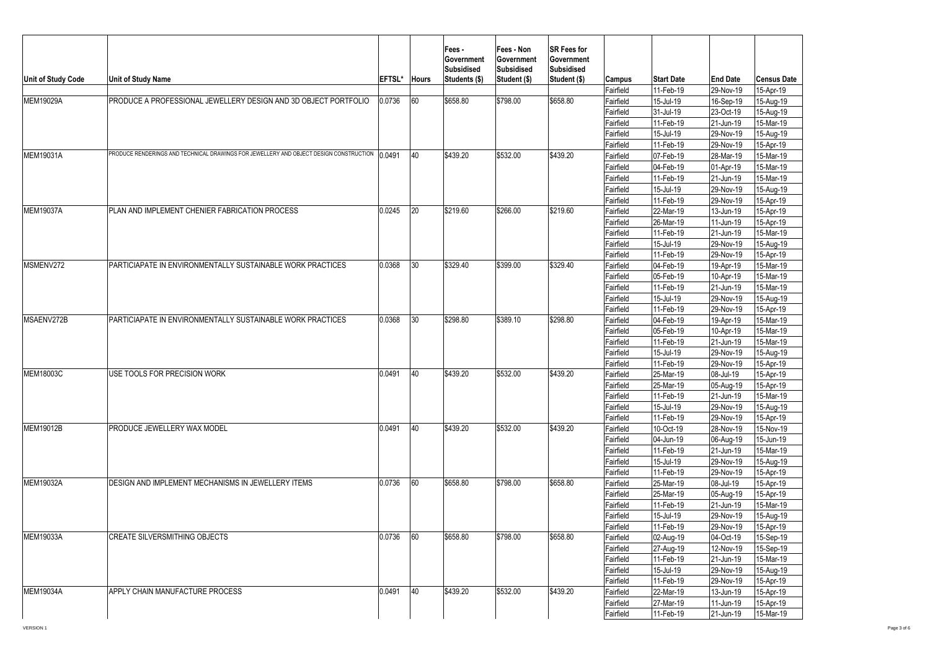| Unit of Study Code | <b>Unit of Study Name</b>                                                              | EFTSL* | <b>Hours</b> | Fees -<br>Government<br>Subsidised<br>Students (\$) | Fees - Non<br>Government<br>Subsidised<br>Student (\$) | <b>SR Fees for</b><br>Government<br>Subsidised<br>Student (\$) | Campus    | <b>Start Date</b>                   | <b>End Date</b>         | <b>Census Date</b> |
|--------------------|----------------------------------------------------------------------------------------|--------|--------------|-----------------------------------------------------|--------------------------------------------------------|----------------------------------------------------------------|-----------|-------------------------------------|-------------------------|--------------------|
|                    |                                                                                        |        |              |                                                     |                                                        |                                                                | Fairfield | 11-Feb-19                           | 29-Nov-19               | 15-Apr-19          |
| MEM19029A          | PRODUCE A PROFESSIONAL JEWELLERY DESIGN AND 3D OBJECT PORTFOLIO                        | 0.0736 | 60           | \$658.80                                            | \$798.00                                               | \$658.80                                                       | Fairfield | 15-Jul-19                           | 16-Sep-19               | 15-Aug-19          |
|                    |                                                                                        |        |              |                                                     |                                                        |                                                                | Fairfield | 31-Jul-19                           | 23-Oct-19               | 15-Aug-19          |
|                    |                                                                                        |        |              |                                                     |                                                        |                                                                | Fairfield | 11-Feb-19                           | 21-Jun-19               | 15-Mar-19          |
|                    |                                                                                        |        |              |                                                     |                                                        |                                                                | Fairfield | 15-Jul-19                           | 29-Nov-19               | 15-Aug-19          |
|                    |                                                                                        |        |              |                                                     |                                                        |                                                                | Fairfield | 11-Feb-19                           | 29-Nov-19               | 15-Apr-19          |
| MEM19031A          | PRODUCE RENDERINGS AND TECHNICAL DRAWINGS FOR JEWELLERY AND OBJECT DESIGN CONSTRUCTION | 0.0491 | 40           | \$439.20                                            | \$532.00                                               | \$439.20                                                       | Fairfield | 07-Feb-19                           | 28-Mar-19               | 15-Mar-19          |
|                    |                                                                                        |        |              |                                                     |                                                        |                                                                | Fairfield | 04-Feb-19                           | 01-Apr-19               | 15-Mar-19          |
|                    |                                                                                        |        |              |                                                     |                                                        |                                                                | Fairfield | 11-Feb-19                           | 21-Jun-19               | 15-Mar-19          |
|                    |                                                                                        |        |              |                                                     |                                                        |                                                                | Fairfield | 15-Jul-19                           | 29-Nov-19               | 15-Aug-19          |
|                    |                                                                                        |        |              |                                                     |                                                        |                                                                | Fairfield | 11-Feb-19                           | 29-Nov-19               | 15-Apr-19          |
| <b>MEM19037A</b>   | PLAN AND IMPLEMENT CHENIER FABRICATION PROCESS                                         | 0.0245 | 20           | \$219.60                                            | \$266.00                                               | \$219.60                                                       | Fairfield | 22-Mar-19                           | 13-Jun-19               | 15-Apr-19          |
|                    |                                                                                        |        |              |                                                     |                                                        |                                                                | Fairfield | 26-Mar-19                           | 11-Jun-19               | 15-Apr-19          |
|                    |                                                                                        |        |              |                                                     |                                                        |                                                                | Fairfield | 11-Feb-19                           | 21-Jun-19               | 15-Mar-19          |
|                    |                                                                                        |        |              |                                                     |                                                        |                                                                | Fairfield | 15-Jul-19                           | 29-Nov-19               | 15-Aug-19          |
|                    |                                                                                        |        |              |                                                     |                                                        |                                                                | Fairfield | 11-Feb-19                           | 29-Nov-19               | 15-Apr-19          |
| MSMENV272          | PARTICIAPATE IN ENVIRONMENTALLY SUSTAINABLE WORK PRACTICES                             | 0.0368 | 30           | \$329.40                                            | \$399.00                                               | \$329.40                                                       | Fairfield | 04-Feb-19                           | 19-Apr-19               | 15-Mar-19          |
|                    |                                                                                        |        |              |                                                     |                                                        |                                                                | Fairfield | 05-Feb-19                           | 10-Apr-19               | 15-Mar-19          |
|                    |                                                                                        |        |              |                                                     |                                                        |                                                                | Fairfield | 11-Feb-19                           | 21-Jun-19               | 15-Mar-19          |
|                    |                                                                                        |        |              |                                                     |                                                        |                                                                | Fairfield | 15-Jul-19                           | 29-Nov-19               | 15-Aug-19          |
|                    |                                                                                        |        |              |                                                     |                                                        |                                                                | Fairfield | 11-Feb-19                           | 29-Nov-19               | 15-Apr-19          |
| MSAENV272B         | PARTICIAPATE IN ENVIRONMENTALLY SUSTAINABLE WORK PRACTICES                             | 0.0368 | 30           | \$298.80                                            | \$389.10                                               | \$298.80                                                       | Fairfield | 04-Feb-19                           |                         | 15-Mar-19          |
|                    |                                                                                        |        |              |                                                     |                                                        |                                                                | Fairfield | 19-Apr-19<br>05-Feb-19<br>10-Apr-19 | 15-Mar-19               |                    |
|                    |                                                                                        |        |              |                                                     |                                                        |                                                                | Fairfield | 11-Feb-19                           | 21-Jun-19               | $15-Mar-19$        |
|                    |                                                                                        |        |              |                                                     |                                                        |                                                                | Fairfield | 15-Jul-19                           | 29-Nov-19               | 15-Aug-19          |
|                    |                                                                                        |        |              |                                                     |                                                        |                                                                | Fairfield | 11-Feb-19                           | 29-Nov-19               | 15-Apr-19          |
| <b>MEM18003C</b>   | USE TOOLS FOR PRECISION WORK                                                           | 0.0491 | 40           | \$439.20                                            | \$532.00                                               | \$439.20                                                       | Fairfield | 25-Mar-19                           | 08-Jul-19               | 15-Apr-19          |
|                    |                                                                                        |        |              |                                                     |                                                        |                                                                | Fairfield | 25-Mar-19                           | 05-Aug-19               | 15-Apr-19          |
|                    |                                                                                        |        |              |                                                     |                                                        |                                                                | Fairfield | 11-Feb-19                           | 21-Jun-19               | 15-Mar-19          |
|                    |                                                                                        |        |              |                                                     |                                                        |                                                                | Fairfield | 15-Jul-19                           | 29-Nov-19               | 15-Aug-19          |
|                    |                                                                                        |        |              |                                                     |                                                        |                                                                | Fairfield | 11-Feb-19                           | 29-Nov-19               | 15-Apr-19          |
| <b>MEM19012B</b>   | PRODUCE JEWELLERY WAX MODEL                                                            | 0.0491 | 40           | \$439.20                                            | \$532.00                                               | \$439.20                                                       | Fairfield | 10-Oct-19                           | 28-Nov-19               | 15-Nov-19          |
|                    |                                                                                        |        |              |                                                     |                                                        |                                                                | Fairfield | 04-Jun-19                           | 06-Aug-19               | 15-Jun-19          |
|                    |                                                                                        |        |              |                                                     |                                                        |                                                                | Fairfield | 11-Feb-19                           | 21-Jun-19               | 15-Mar-19          |
|                    |                                                                                        |        |              |                                                     |                                                        |                                                                | Fairfield | $15$ -Jul-19                        | 29-Nov-19               | $15-Aug-19$        |
|                    |                                                                                        |        |              |                                                     |                                                        |                                                                | Fairfield | 11-Feb-19                           | 29-Nov-19               | 15-Apr-19          |
| <b>MEM19032A</b>   | DESIGN AND IMPLEMENT MECHANISMS IN JEWELLERY ITEMS                                     | 0.0736 | 60           | \$658.80                                            | \$798.00                                               | \$658.80                                                       | Fairfield | 25-Mar-19                           | 08-Jul-19               | 15-Apr-19          |
|                    |                                                                                        |        |              |                                                     |                                                        |                                                                | Fairfield | 25-Mar-19                           | 05-Aug-19               | 15-Apr-19          |
|                    |                                                                                        |        |              |                                                     |                                                        |                                                                | Fairfield | 11-Feb-19                           | 21-Jun-19               | 15-Mar-19          |
|                    |                                                                                        |        |              |                                                     |                                                        |                                                                | Fairfield | 15-Jul-19                           | 29-Nov-19               | 15-Aug-19          |
|                    |                                                                                        |        |              |                                                     |                                                        |                                                                | Fairfield | 11-Feb-19                           | 29-Nov-19               | 15-Apr-19          |
| <b>MEM19033A</b>   | <b>CREATE SILVERSMITHING OBJECTS</b>                                                   | 0.0736 | 60           | \$658.80                                            | \$798.00                                               | \$658.80                                                       | Fairfield | 02-Aug-19                           | $\overline{04}$ -Oct-19 | 15-Sep-19          |
|                    |                                                                                        |        |              |                                                     |                                                        |                                                                | Fairfield | 27-Aug-19                           | 12-Nov-19               | 15-Sep-19          |
|                    |                                                                                        |        |              |                                                     |                                                        |                                                                | Fairfield | 11-Feb-19                           | 21-Jun-19               | 15-Mar-19          |
|                    |                                                                                        |        |              |                                                     |                                                        |                                                                | Fairfield | 15-Jul-19                           | 29-Nov-19               | 15-Aug-19          |
|                    |                                                                                        |        |              |                                                     |                                                        |                                                                | Fairfield | 11-Feb-19                           | 29-Nov-19               | 15-Apr-19          |
| <b>MEM19034A</b>   | APPLY CHAIN MANUFACTURE PROCESS                                                        | 0.0491 | 40           | \$439.20                                            | \$532.00                                               | \$439.20                                                       | Fairfield | 22-Mar-19                           | 13-Jun-19               | 15-Apr-19          |
|                    |                                                                                        |        |              |                                                     |                                                        |                                                                | Fairfield | 27-Mar-19                           | 11-Jun-19               | 15-Apr-19          |
|                    |                                                                                        |        |              |                                                     |                                                        |                                                                | Fairfield | 11-Feb-19                           | 21-Jun-19               | 15-Mar-19          |
|                    |                                                                                        |        |              |                                                     |                                                        |                                                                |           |                                     |                         |                    |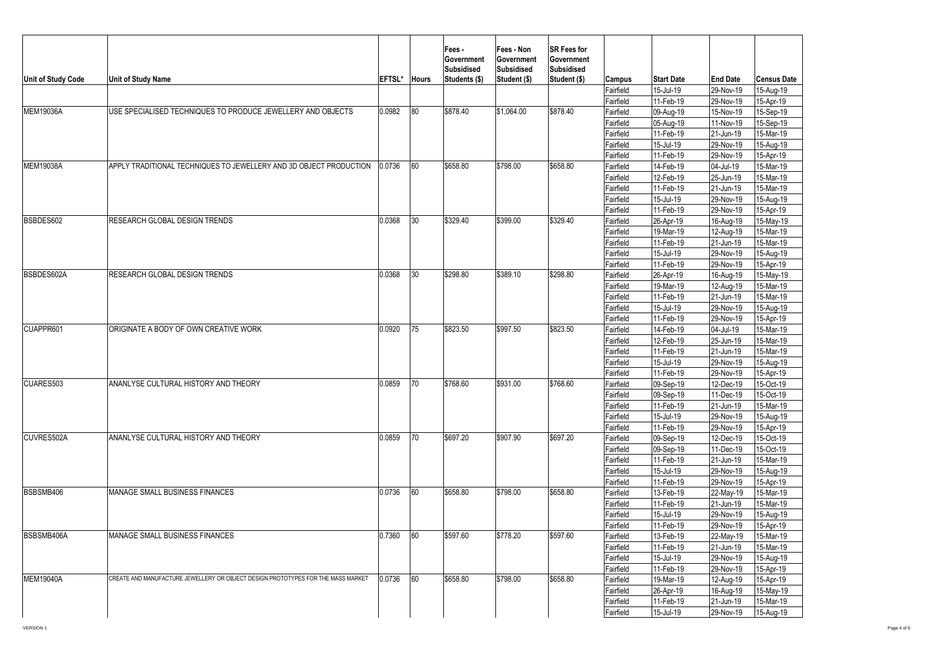|                           |                                                                                  |        |              | Fees -<br><b>Government</b><br><b>Subsidised</b> | Fees - Non<br>Government<br>Subsidised | <b>SR Fees for</b><br>Government<br>Subsidised |                        |                        |                        |                        |
|---------------------------|----------------------------------------------------------------------------------|--------|--------------|--------------------------------------------------|----------------------------------------|------------------------------------------------|------------------------|------------------------|------------------------|------------------------|
| <b>Unit of Study Code</b> | <b>Unit of Study Name</b>                                                        | EFTSL* | <b>Hours</b> | Students (\$)                                    | Student (\$)                           | Student (\$)                                   | <b>Campus</b>          | <b>Start Date</b>      | <b>End Date</b>        | <b>Census Date</b>     |
|                           |                                                                                  |        |              |                                                  |                                        |                                                | Fairfield              | 15-Jul-19              | 29-Nov-19              | 15-Aug-19              |
|                           |                                                                                  |        |              |                                                  |                                        |                                                | Fairfield              | 11-Feb-19              | 29-Nov-19              | 15-Apr-19              |
| <b>MEM19036A</b>          | USE SPECIALISED TECHNIQUES TO PRODUCE JEWELLERY AND OBJECTS                      | 0.0982 | 80           | \$878.40                                         | \$1,064.00                             | \$878.40                                       | Fairfield              | 09-Aug-19              | 15-Nov-19              | 15-Sep-19              |
|                           |                                                                                  |        |              |                                                  |                                        |                                                | Fairfield              | 05-Aug-19              | 11-Nov-19              | 15-Sep-19              |
|                           |                                                                                  |        |              |                                                  |                                        |                                                | Fairfield              | 11-Feb-19              | 21-Jun-19              | 15-Mar-19              |
|                           |                                                                                  |        |              |                                                  |                                        |                                                | Fairfield              | 15-Jul-19              | 29-Nov-19              | 15-Aug-19              |
| <b>MEM19038A</b>          | APPLY TRADITIONAL TECHNIQUES TO JEWELLERY AND 3D OBJECT PRODUCTION               | 0.0736 | 60           | \$658.80                                         | \$798.00                               | \$658.80                                       | Fairfield              | 11-Feb-19              | 29-Nov-19              | 15-Apr-19              |
|                           |                                                                                  |        |              |                                                  |                                        |                                                | Fairfield              | $14$ -Feb-19           | 04-Jul-19              | 15-Mar-19              |
|                           |                                                                                  |        |              |                                                  |                                        |                                                | Fairfield              | 12-Feb-19              | 25-Jun-19              | 15-Mar-19              |
|                           |                                                                                  |        |              |                                                  |                                        |                                                | Fairfield              | 11-Feb-19              | 21-Jun-19              | 15-Mar-19              |
|                           |                                                                                  |        |              |                                                  |                                        |                                                | Fairfield              | 15-Jul-19<br>11-Feb-19 | 29-Nov-19<br>29-Nov-19 | 15-Aug-19              |
| BSBDES602                 | <b>RESEARCH GLOBAL DESIGN TRENDS</b>                                             | 0.0368 | 30           | \$329.40                                         | \$399.00                               | \$329.40                                       | Fairfield              |                        |                        | 15-Apr-19              |
|                           |                                                                                  |        |              |                                                  |                                        |                                                | Fairfield<br>Fairfield | 26-Apr-19<br>19-Mar-19 | 16-Aug-19              | 15-May-19<br>15-Mar-19 |
|                           |                                                                                  |        |              |                                                  |                                        |                                                | Fairfield              | 11-Feb-19              | 12-Aug-19<br>21-Jun-19 | 15-Mar-19              |
|                           |                                                                                  |        |              |                                                  |                                        |                                                | Fairfield              | 15-Jul-19              | 29-Nov-19              | 15-Aug-19              |
|                           |                                                                                  |        |              |                                                  |                                        |                                                | Fairfield              | 11-Feb-19              | 29-Nov-19              | 15-Apr-19              |
| BSBDES602A                | RESEARCH GLOBAL DESIGN TRENDS                                                    | 0.0368 | 30           | \$298.80                                         | \$389.10                               | \$298.80                                       | Fairfield              | 26-Apr-19              | 16-Aug-19              | 15-May-19              |
|                           |                                                                                  |        |              |                                                  |                                        |                                                | Fairfield              | 19-Mar-19              | 12-Aug-19              | 15-Mar-19              |
|                           |                                                                                  |        |              |                                                  |                                        |                                                | Fairfield              | 11-Feb-19              | 21-Jun-19              | 15-Mar-19              |
|                           |                                                                                  |        |              |                                                  |                                        |                                                | Fairfield              | 15-Jul-19              | 29-Nov-19              | 15-Aug-19              |
|                           |                                                                                  |        |              |                                                  |                                        |                                                | Fairfield              | 11-Feb-19              | 29-Nov-19              | 15-Apr-19              |
| CUAPPR601                 | ORIGINATE A BODY OF OWN CREATIVE WORK                                            | 0.0920 | 75           | \$823.50                                         | \$997.50                               | \$823.50                                       | Fairfield              | 14-Feb-19              | 04-Jul-19              | 15-Mar-19              |
|                           |                                                                                  |        |              |                                                  |                                        |                                                | Fairfield              | 12-Feb-19              | 25-Jun-19              | 15-Mar-19              |
|                           |                                                                                  |        |              |                                                  |                                        |                                                | Fairfield              | 11-Feb-19              | 21-Jun-19              | 15-Mar-19              |
|                           |                                                                                  |        |              |                                                  |                                        |                                                | Fairfield              | 15-Jul-19              | 29-Nov-19              | 15-Aug-19              |
|                           |                                                                                  |        |              |                                                  |                                        |                                                | Fairfield              | 11-Feb-19              | 29-Nov-19              | 15-Apr-19              |
| CUARES503                 | ANANLYSE CULTURAL HISTORY AND THEORY                                             | 0.0859 | 70           | \$768.60                                         | \$931.00                               | \$768.60                                       | Fairfield              | 09-Sep-19              | 12-Dec-19              | 15-Oct-19              |
|                           |                                                                                  |        |              |                                                  |                                        |                                                | Fairfield              | 09-Sep-19              | 11-Dec-19              | 15-Oct-19              |
|                           |                                                                                  |        |              |                                                  |                                        |                                                | Fairfield              | 11-Feb-19              | 21-Jun-19              | 15-Mar-19              |
|                           |                                                                                  |        |              |                                                  |                                        |                                                | Fairfield              | $15$ -Jul-19           | 29-Nov-19              | 15-Aug-19              |
|                           |                                                                                  |        |              |                                                  |                                        |                                                | Fairfield              | 11-Feb-19              | 29-Nov-19              | 15-Apr-19              |
| CUVRES502A                | ANANLYSE CULTURAL HISTORY AND THEORY                                             | 0.0859 | 70           | \$697.20                                         | \$907.90                               | \$697.20                                       | Fairfield              | 09-Sep-19              | 12-Dec-19              | 15-Oct-19              |
|                           |                                                                                  |        |              |                                                  |                                        |                                                | Fairfield              | 09-Sep-19              | 11-Dec-19              | 15-Oct-19              |
|                           |                                                                                  |        |              |                                                  |                                        |                                                | Fairfield              | 11-Feb-19              | 21-Jun-19              | 15-Mar-19              |
|                           |                                                                                  |        |              |                                                  |                                        |                                                | Fairfield              | 15-Jul-19              | 29-Nov-19              | 15-Aug-19              |
|                           |                                                                                  |        |              |                                                  |                                        |                                                | Fairfield              | 11-Feb-19              | 29-Nov-19              | 15-Apr-19              |
| BSBSMB406                 | MANAGE SMALL BUSINESS FINANCES                                                   | 0.0736 | 60           | \$658.80                                         | \$798.00                               | \$658.80                                       | Fairfield              | 13-Feb-19              | 22-May-19              | 15-Mar-19              |
|                           |                                                                                  |        |              |                                                  |                                        |                                                | Fairfield              | 11-Feb-19              | 21-Jun-19              | 15-Mar-19              |
|                           |                                                                                  |        |              |                                                  |                                        |                                                | Fairfield              | 15-Jul-19              | 29-Nov-19              | 15-Aug-19              |
|                           |                                                                                  |        |              |                                                  |                                        |                                                | Fairfield              | 11-Feb-19              | 29-Nov-19              | 15-Apr-19              |
| BSBSMB406A                | MANAGE SMALL BUSINESS FINANCES                                                   | 0.7360 | 60           | \$597.60                                         | \$778.20                               | \$597.60                                       | Fairfield              | 13-Feb-19              | 22-May-19              | 15-Mar-19              |
|                           |                                                                                  |        |              |                                                  |                                        |                                                | Fairfield              | 11-Feb-19              | 21-Jun-19              | 15-Mar-19              |
|                           |                                                                                  |        |              |                                                  |                                        |                                                | Fairfield              | 15-Jul-19              | 29-Nov-19              | 15-Aug-19              |
|                           |                                                                                  |        |              |                                                  |                                        |                                                | Fairfield              | 11-Feb-19              | 29-Nov-19              | 15-Apr-19              |
| <b>MEM19040A</b>          | CREATE AND MANUFACTURE JEWELLERY OR OBJECT DESIGN PROTOTYPES FOR THE MASS MARKET | 0.0736 | 60           | \$658.80                                         | \$798.00                               | \$658.80                                       | Fairfield              | 19-Mar-19              | 12-Aug-19              | 15-Apr-19              |
|                           |                                                                                  |        |              |                                                  |                                        |                                                | Fairfield              | 26-Apr-19              | 16-Aug-19              | 15-May-19              |
|                           |                                                                                  |        |              |                                                  |                                        |                                                | Fairfield              | 11-Feb-19              | 21-Jun-19              | 15-Mar-19              |
|                           |                                                                                  |        |              |                                                  |                                        |                                                | Fairfield              | 15-Jul-19              | 29-Nov-19              | 15-Aug-19              |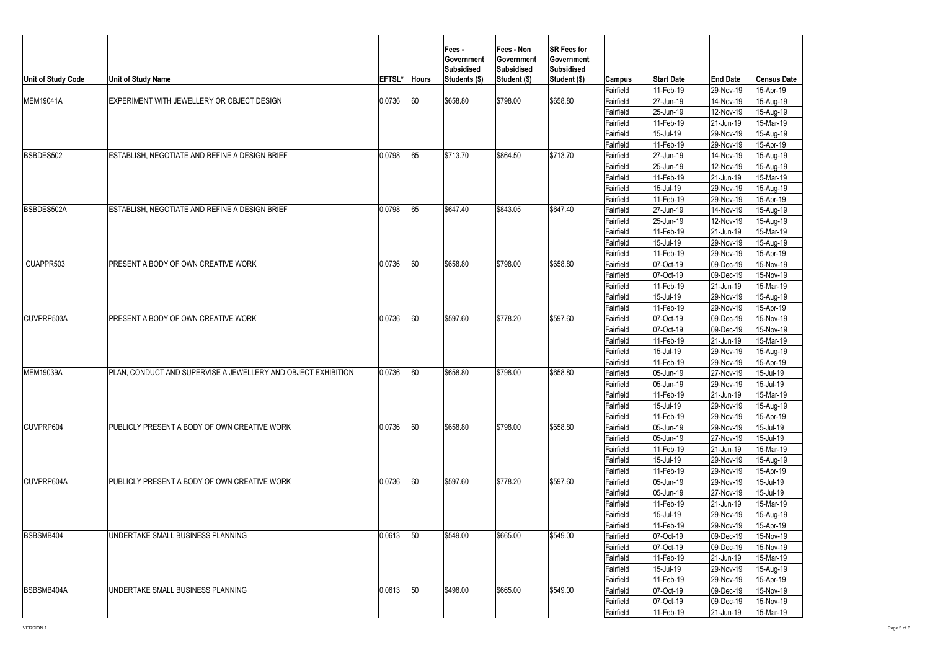|                    |                                                               |        |              | Fees -<br>Government<br>Subsidised | Fees - Non<br>Government<br>Subsidised | SR Fees for<br>Government<br>Subsidised |                        |                                |                              |                                 |
|--------------------|---------------------------------------------------------------|--------|--------------|------------------------------------|----------------------------------------|-----------------------------------------|------------------------|--------------------------------|------------------------------|---------------------------------|
| Unit of Study Code | <b>Unit of Study Name</b>                                     | EFTSL* | <b>Hours</b> | Students (\$)                      | Student (\$)                           | Student (\$)                            | Campus<br>Fairfield    | <b>Start Date</b><br>11-Feb-19 | <b>End Date</b><br>29-Nov-19 | <b>Census Date</b><br>15-Apr-19 |
| <b>MEM19041A</b>   | EXPERIMENT WITH JEWELLERY OR OBJECT DESIGN                    | 0.0736 | 60           | \$658.80                           | \$798.00                               | \$658.80                                | Fairfield              | 27-Jun-19                      | 14-Nov-19                    | 15-Aug-19                       |
|                    |                                                               |        |              |                                    |                                        |                                         | Fairfield              | 25-Jun-19                      | 12-Nov-19                    | 15-Aug-19                       |
|                    |                                                               |        |              |                                    |                                        |                                         | Fairfield              | 11-Feb-19                      | 21-Jun-19                    | 15-Mar-19                       |
|                    |                                                               |        |              |                                    |                                        |                                         | Fairfield              | 15-Jul-19                      | 29-Nov-19                    | 15-Aug-19                       |
|                    |                                                               |        |              |                                    |                                        |                                         | Fairfield              | 11-Feb-19                      | 29-Nov-19                    | 15-Apr-19                       |
| BSBDES502          | ESTABLISH. NEGOTIATE AND REFINE A DESIGN BRIEF                | 0.0798 | 65           | \$713.70                           | \$864.50                               | \$713.70                                | Fairfield              | 27-Jun-19                      | 14-Nov-19                    | 15-Aug-19                       |
|                    |                                                               |        |              |                                    |                                        |                                         | Fairfield              | 25-Jun-19                      | 12-Nov-19                    | 15-Aug-19                       |
|                    |                                                               |        |              |                                    |                                        |                                         | Fairfield              | 11-Feb-19                      | 21-Jun-19                    | 15-Mar-19                       |
|                    |                                                               |        |              |                                    |                                        |                                         | Fairfield              | 15-Jul-19                      | 29-Nov-19                    | 15-Aug-19                       |
|                    |                                                               |        |              |                                    |                                        |                                         | Fairfield              | 11-Feb-19                      | 29-Nov-19                    | 15-Apr-19                       |
| BSBDES502A         | ESTABLISH, NEGOTIATE AND REFINE A DESIGN BRIEF                | 0.0798 | 65           | \$647.40                           | \$843.05                               | \$647.40                                | Fairfield              | 27-Jun-19                      | 14-Nov-19                    | 15-Aug-19                       |
|                    |                                                               |        |              |                                    |                                        |                                         | Fairfield              | 25-Jun-19                      | 12-Nov-19                    | 15-Aug-19                       |
|                    |                                                               |        |              |                                    |                                        |                                         | Fairfield              | 11-Feb-19                      | 21-Jun-19                    | 15-Mar-19                       |
|                    |                                                               |        |              |                                    |                                        |                                         | Fairfield              | $15 -$ Jul-19                  | 29-Nov-19                    | 15-Aug-19                       |
|                    |                                                               |        |              |                                    |                                        |                                         | Fairfield              | 11-Feb-19                      | 29-Nov-19                    | 15-Apr-19                       |
| CUAPPR503          | PRESENT A BODY OF OWN CREATIVE WORK                           | 0.0736 | 60           | \$658.80                           | \$798.00                               | \$658.80                                | Fairfield              | 07-Oct-19                      | 09-Dec-19                    | 15-Nov-19                       |
|                    |                                                               |        |              |                                    |                                        |                                         | Fairfield              | 07-Oct-19                      | 09-Dec-19                    | 15-Nov-19                       |
|                    |                                                               |        |              |                                    |                                        |                                         | Fairfield              | 11-Feb-19                      | 21-Jun-19                    | 15-Mar-19                       |
|                    |                                                               |        |              |                                    |                                        |                                         | Fairfield              | 15-Jul-19                      | 29-Nov-19                    | 15-Aug-19                       |
|                    |                                                               |        |              |                                    |                                        |                                         | Fairfield              | 11-Feb-19                      | 29-Nov-19                    | 15-Apr-19                       |
| CUVPRP503A         | PRESENT A BODY OF OWN CREATIVE WORK                           | 0.0736 | 60           | \$597.60                           | \$778.20                               | \$597.60                                | Fairfield              | 07-Oct-19                      | 09-Dec-19                    | 15-Nov-19                       |
|                    |                                                               |        |              |                                    |                                        |                                         | Fairfield              | 07-Oct-19                      | 09-Dec-19                    | 15-Nov-19                       |
|                    |                                                               |        |              |                                    |                                        |                                         | Fairfield              | 11-Feb-19                      | 21-Jun-19                    | 15-Mar-19                       |
|                    |                                                               |        |              |                                    |                                        |                                         | Fairfield              | 15-Jul-19                      | 29-Nov-19                    | 15-Aug-19                       |
|                    |                                                               |        |              |                                    |                                        |                                         | Fairfield              | 11-Feb-19                      | 29-Nov-19                    | 15-Apr-19                       |
| <b>MEM19039A</b>   | PLAN, CONDUCT AND SUPERVISE A JEWELLERY AND OBJECT EXHIBITION | 0.0736 | 60           | \$658.80                           | \$798.00                               | \$658.80                                | Fairfield              | 05-Jun-19                      | 27-Nov-19                    | 15-Jul-19                       |
|                    |                                                               |        |              |                                    |                                        |                                         | Fairfield              | 05-Jun-19                      | 29-Nov-19                    | 15-Jul-19                       |
|                    |                                                               |        |              |                                    |                                        |                                         | Fairfield              | 11-Feb-19                      | 21-Jun-19                    | 15-Mar-19                       |
|                    |                                                               |        |              |                                    |                                        |                                         | Fairfield              | 15-Jul-19                      | 29-Nov-19                    | 15-Aug-19                       |
|                    |                                                               |        |              |                                    |                                        |                                         | Fairfield              | 11-Feb-19                      | 29-Nov-19                    | 15-Apr-19                       |
| CUVPRP604          | PUBLICLY PRESENT A BODY OF OWN CREATIVE WORK                  | 0.0736 | 60           | \$658.80                           | \$798.00                               | \$658.80                                | Fairfield              | 05-Jun-19                      | 29-Nov-19                    | 15-Jul-19                       |
|                    |                                                               |        |              |                                    |                                        |                                         | Fairfield              | 05-Jun-19                      | 27-Nov-19                    | 15-Jul-19                       |
|                    |                                                               |        |              |                                    |                                        |                                         | Fairfield              | 11-Feb-19                      | 21-Jun-19                    | 15-Mar-19                       |
|                    |                                                               |        |              |                                    |                                        |                                         | Fairfield              | 15-Jul-19                      | 29-Nov-19                    | 15-Aug-19                       |
|                    |                                                               |        |              |                                    |                                        |                                         | Fairfield              | 11-Feb-19                      | 29-Nov-19                    | 15-Apr-19                       |
| CUVPRP604A         | PUBLICLY PRESENT A BODY OF OWN CREATIVE WORK                  | 0.0736 | 60           | \$597.60                           | \$778.20                               | \$597.60                                | Fairfield              | 05-Jun-19                      | 29-Nov-19                    | 15-Jul-19                       |
|                    |                                                               |        |              |                                    |                                        |                                         | Fairfield              | 05-Jun-19                      | 27-Nov-19                    | 15-Jul-19                       |
|                    |                                                               |        |              |                                    |                                        |                                         | Fairfield              | 11-Feb-19                      | 21-Jun-19                    | 15-Mar-19                       |
|                    |                                                               |        |              |                                    |                                        |                                         | Fairfield              | 15-Jul-19                      | 29-Nov-19                    |                                 |
|                    |                                                               |        |              |                                    |                                        |                                         | Fairfield              | 11-Feb-19                      | 29-Nov-19                    | 15-Aug-19                       |
| BSBSMB404          | UNDERTAKE SMALL BUSINESS PLANNING                             | 0.0613 | 50           | \$549.00                           | \$665.00                               | \$549.00                                |                        |                                | 09-Dec-19                    | 15-Apr-19<br>15-Nov-19          |
|                    |                                                               |        |              |                                    |                                        |                                         | Fairfield<br>Fairfield | 07-Oct-19<br>07-Oct-19         | $\overline{0}9$ -Dec-19      | 15-Nov-19                       |
|                    |                                                               |        |              |                                    |                                        |                                         |                        | 11-Feb-19                      | 21-Jun-19                    | 15-Mar-19                       |
|                    |                                                               |        |              |                                    |                                        |                                         | Fairfield              |                                |                              |                                 |
|                    |                                                               |        |              |                                    |                                        |                                         | Fairfield              | 15-Jul-19                      | 29-Nov-19                    | 15-Aug-19                       |
| BSBSMB404A         | UNDERTAKE SMALL BUSINESS PLANNING                             | 0.0613 | 50           | \$498.00                           | \$665.00                               | \$549.00                                | Fairfield              | 11-Feb-19<br>07-Oct-19         | 29-Nov-19<br>09-Dec-19       | 15-Apr-19<br>15-Nov-19          |
|                    |                                                               |        |              |                                    |                                        |                                         | Fairfield              | 07-Oct-19                      |                              |                                 |
|                    |                                                               |        |              |                                    |                                        |                                         | Fairfield              |                                | 09-Dec-19<br>21-Jun-19       | 15-Nov-19                       |
|                    |                                                               |        |              |                                    |                                        |                                         | Fairfield              | 11-Feb-19                      |                              | 15-Mar-19                       |